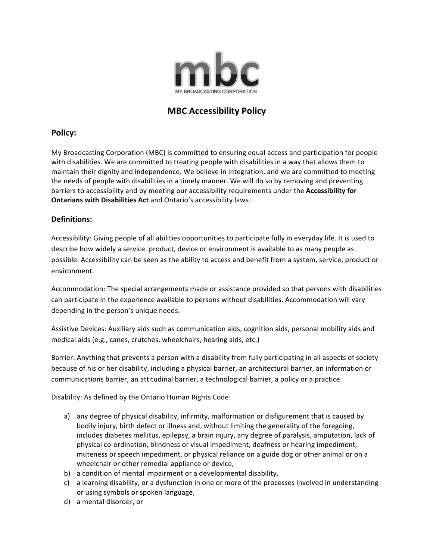

# **MBC Accessibility Policy**

## **Policy:**

My Broadcasting Corporation (MBC) is committed to ensuring equal access and participation for people with disabilities. We are committed to treating people with disabilities in a way that allows them to maintain their dignity and independence. We believe in integration, and we are committed to meeting the needs of people with disabilities in a timely manner. We will do so by removing and preventing barriers to accessibility and by meeting our accessibility requirements under the Accessibility for **Ontarians with Disabilities Act** and Ontario's accessibility laws.

## **Definitions:**

Accessibility: Giving people of all abilities opportunities to participate fully in everyday life. It is used to describe how widely a service, product, device or environment is available to as many people as possible. Accessibility can be seen as the ability to access and benefit from a system, service, product or environment. 

Accommodation: The special arrangements made or assistance provided so that persons with disabilities can participate in the experience available to persons without disabilities. Accommodation will vary depending in the person's unique needs.

Assistive Devices: Auxiliary aids such as communication aids, cognition aids, personal mobility aids and medical aids (e.g., canes, crutches, wheelchairs, hearing aids, etc.)

Barrier: Anything that prevents a person with a disability from fully participating in all aspects of society because of his or her disability, including a physical barrier, an architectural barrier, an information or communications barrier, an attitudinal barrier, a technological barrier, a policy or a practice.

Disability: As defined by the Ontario Human Rights Code:

- a) any degree of physical disability, infirmity, malformation or disfigurement that is caused by bodily injury, birth defect or illness and, without limiting the generality of the foregoing, includes diabetes mellitus, epilepsy, a brain injury, any degree of paralysis, amputation, lack of physical co-ordination, blindness or visual impediment, deafness or hearing impediment, muteness or speech impediment, or physical reliance on a guide dog or other animal or on a wheelchair or other remedial appliance or device,
- b) a condition of mental impairment or a developmental disability,
- c) a learning disability, or a dysfunction in one or more of the processes involved in understanding or using symbols or spoken language,
- d) a mental disorder, or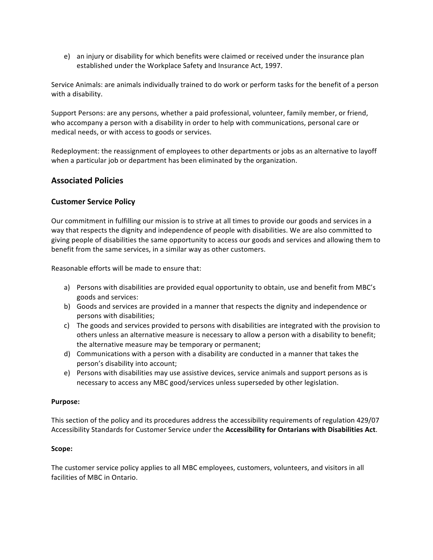e) an injury or disability for which benefits were claimed or received under the insurance plan established under the Workplace Safety and Insurance Act, 1997.

Service Animals: are animals individually trained to do work or perform tasks for the benefit of a person with a disability.

Support Persons: are any persons, whether a paid professional, volunteer, family member, or friend, who accompany a person with a disability in order to help with communications, personal care or medical needs, or with access to goods or services.

Redeployment: the reassignment of employees to other departments or jobs as an alternative to layoff when a particular job or department has been eliminated by the organization.

## **Associated Policies**

### **Customer Service Policy**

Our commitment in fulfilling our mission is to strive at all times to provide our goods and services in a way that respects the dignity and independence of people with disabilities. We are also committed to giving people of disabilities the same opportunity to access our goods and services and allowing them to benefit from the same services, in a similar way as other customers.

Reasonable efforts will be made to ensure that:

- a) Persons with disabilities are provided equal opportunity to obtain, use and benefit from MBC's goods and services:
- b) Goods and services are provided in a manner that respects the dignity and independence or persons with disabilities;
- c) The goods and services provided to persons with disabilities are integrated with the provision to others unless an alternative measure is necessary to allow a person with a disability to benefit; the alternative measure may be temporary or permanent;
- d) Communications with a person with a disability are conducted in a manner that takes the person's disability into account;
- e) Persons with disabilities may use assistive devices, service animals and support persons as is necessary to access any MBC good/services unless superseded by other legislation.

#### **Purpose:**

This section of the policy and its procedures address the accessibility requirements of regulation 429/07 Accessibility Standards for Customer Service under the Accessibility for Ontarians with Disabilities Act.

#### **Scope:**

The customer service policy applies to all MBC employees, customers, volunteers, and visitors in all facilities of MBC in Ontario.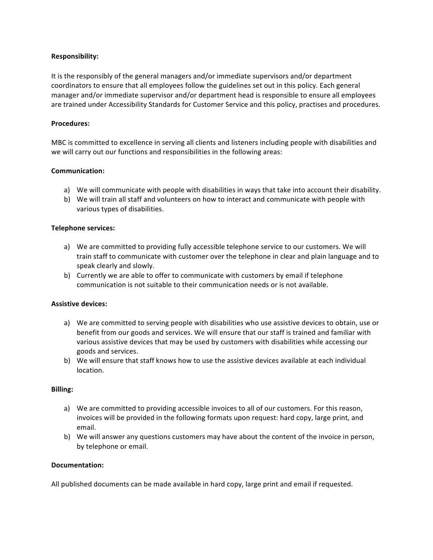### **Responsibility:**

It is the responsibly of the general managers and/or immediate supervisors and/or department coordinators to ensure that all employees follow the guidelines set out in this policy. Each general manager and/or immediate supervisor and/or department head is responsible to ensure all employees are trained under Accessibility Standards for Customer Service and this policy, practises and procedures.

#### **Procedures:**

MBC is committed to excellence in serving all clients and listeners including people with disabilities and we will carry out our functions and responsibilities in the following areas:

### **Communication:**

- a) We will communicate with people with disabilities in ways that take into account their disability.
- b) We will train all staff and volunteers on how to interact and communicate with people with various types of disabilities.

### **Telephone services:**

- a) We are committed to providing fully accessible telephone service to our customers. We will train staff to communicate with customer over the telephone in clear and plain language and to speak clearly and slowly.
- b) Currently we are able to offer to communicate with customers by email if telephone communication is not suitable to their communication needs or is not available.

#### **Assistive devices:**

- a) We are committed to serving people with disabilities who use assistive devices to obtain, use or benefit from our goods and services. We will ensure that our staff is trained and familiar with various assistive devices that may be used by customers with disabilities while accessing our goods and services.
- b) We will ensure that staff knows how to use the assistive devices available at each individual location.

#### **Billing:**

- a) We are committed to providing accessible invoices to all of our customers. For this reason, invoices will be provided in the following formats upon request: hard copy, large print, and email.
- b) We will answer any questions customers may have about the content of the invoice in person, by telephone or email.

#### **Documentation:**

All published documents can be made available in hard copy, large print and email if requested.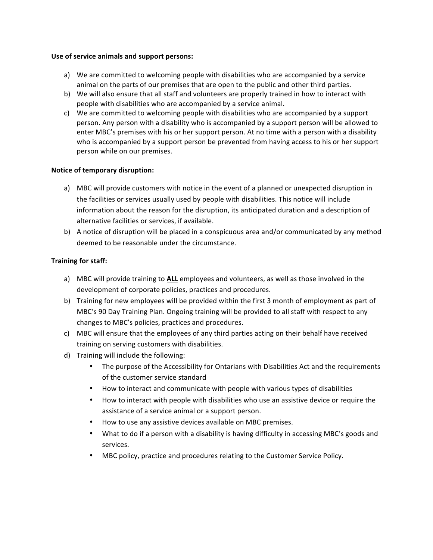#### Use of service animals and support persons:

- a) We are committed to welcoming people with disabilities who are accompanied by a service animal on the parts of our premises that are open to the public and other third parties.
- b) We will also ensure that all staff and volunteers are properly trained in how to interact with people with disabilities who are accompanied by a service animal.
- c) We are committed to welcoming people with disabilities who are accompanied by a support person. Any person with a disability who is accompanied by a support person will be allowed to enter MBC's premises with his or her support person. At no time with a person with a disability who is accompanied by a support person be prevented from having access to his or her support person while on our premises.

### **Notice of temporary disruption:**

- a) MBC will provide customers with notice in the event of a planned or unexpected disruption in the facilities or services usually used by people with disabilities. This notice will include information about the reason for the disruption, its anticipated duration and a description of alternative facilities or services, if available.
- b) A notice of disruption will be placed in a conspicuous area and/or communicated by any method deemed to be reasonable under the circumstance.

### **Training for staff:**

- a) MBC will provide training to ALL employees and volunteers, as well as those involved in the development of corporate policies, practices and procedures.
- b) Training for new employees will be provided within the first 3 month of employment as part of MBC's 90 Day Training Plan. Ongoing training will be provided to all staff with respect to any changes to MBC's policies, practices and procedures.
- c) MBC will ensure that the employees of any third parties acting on their behalf have received training on serving customers with disabilities.
- d) Training will include the following:
	- The purpose of the Accessibility for Ontarians with Disabilities Act and the requirements of the customer service standard
	- How to interact and communicate with people with various types of disabilities
	- How to interact with people with disabilities who use an assistive device or require the assistance of a service animal or a support person.
	- How to use any assistive devices available on MBC premises.
	- What to do if a person with a disability is having difficulty in accessing MBC's goods and services.
	- MBC policy, practice and procedures relating to the Customer Service Policy.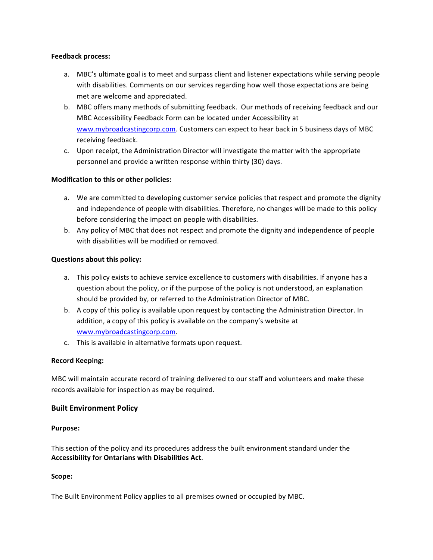### **Feedback process:**

- a. MBC's ultimate goal is to meet and surpass client and listener expectations while serving people with disabilities. Comments on our services regarding how well those expectations are being met are welcome and appreciated.
- b. MBC offers many methods of submitting feedback. Our methods of receiving feedback and our MBC Accessibility Feedback Form can be located under Accessibility at www.mybroadcastingcorp.com. Customers can expect to hear back in 5 business days of MBC receiving feedback.
- c. Upon receipt, the Administration Director will investigate the matter with the appropriate personnel and provide a written response within thirty (30) days.

### **Modification to this or other policies:**

- a. We are committed to developing customer service policies that respect and promote the dignity and independence of people with disabilities. Therefore, no changes will be made to this policy before considering the impact on people with disabilities.
- b. Any policy of MBC that does not respect and promote the dignity and independence of people with disabilities will be modified or removed.

### **Questions about this policy:**

- a. This policy exists to achieve service excellence to customers with disabilities. If anyone has a question about the policy, or if the purpose of the policy is not understood, an explanation should be provided by, or referred to the Administration Director of MBC.
- b. A copy of this policy is available upon request by contacting the Administration Director. In addition, a copy of this policy is available on the company's website at www.mybroadcastingcorp.com.
- c. This is available in alternative formats upon request.

### **Record Keeping:**

MBC will maintain accurate record of training delivered to our staff and volunteers and make these records available for inspection as may be required.

### **Built Environment Policy**

#### **Purpose:**

This section of the policy and its procedures address the built environment standard under the **Accessibility for Ontarians with Disabilities Act.** 

#### **Scope:**

The Built Environment Policy applies to all premises owned or occupied by MBC.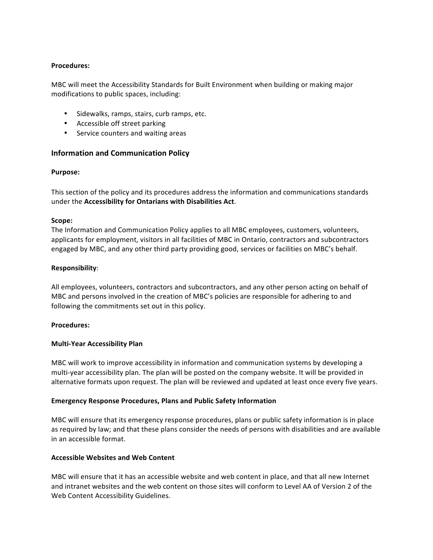### **Procedures:**

MBC will meet the Accessibility Standards for Built Environment when building or making major modifications to public spaces, including:

- Sidewalks, ramps, stairs, curb ramps, etc.
- Accessible off street parking
- Service counters and waiting areas

### **Information and Communication Policy**

#### **Purpose:**

This section of the policy and its procedures address the information and communications standards under the **Accessibility for Ontarians with Disabilities Act.** 

#### **Scope:**

The Information and Communication Policy applies to all MBC employees, customers, volunteers, applicants for employment, visitors in all facilities of MBC in Ontario, contractors and subcontractors engaged by MBC, and any other third party providing good, services or facilities on MBC's behalf.

#### **Responsibility**:

All employees, volunteers, contractors and subcontractors, and any other person acting on behalf of MBC and persons involved in the creation of MBC's policies are responsible for adhering to and following the commitments set out in this policy.

#### **Procedures:**

#### **Multi-Year Accessibility Plan**

MBC will work to improve accessibility in information and communication systems by developing a multi-year accessibility plan. The plan will be posted on the company website. It will be provided in alternative formats upon request. The plan will be reviewed and updated at least once every five years.

#### **Emergency Response Procedures, Plans and Public Safety Information**

MBC will ensure that its emergency response procedures, plans or public safety information is in place as required by law; and that these plans consider the needs of persons with disabilities and are available in an accessible format.

#### **Accessible Websites and Web Content**

MBC will ensure that it has an accessible website and web content in place, and that all new Internet and intranet websites and the web content on those sites will conform to Level AA of Version 2 of the Web Content Accessibility Guidelines.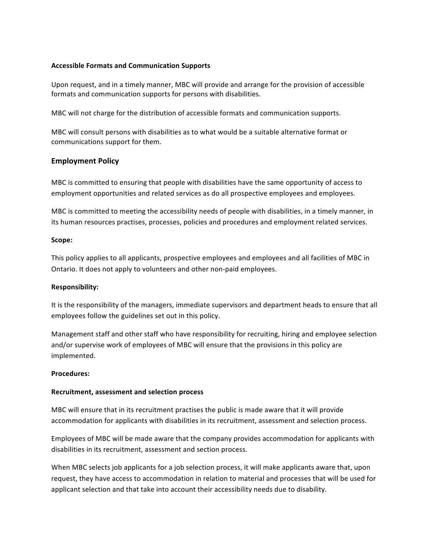### **Accessible Formats and Communication Supports**

Upon request, and in a timely manner, MBC will provide and arrange for the provision of accessible formats and communication supports for persons with disabilities.

MBC will not charge for the distribution of accessible formats and communication supports.

MBC will consult persons with disabilities as to what would be a suitable alternative format or communications support for them.

### **Employment Policy**

MBC is committed to ensuring that people with disabilities have the same opportunity of access to employment opportunities and related services as do all prospective employees and employees.

MBC is committed to meeting the accessibility needs of people with disabilities, in a timely manner, in its human resources practises, processes, policies and procedures and employment related services.

#### **Scope:**

This policy applies to all applicants, prospective employees and employees and all facilities of MBC in Ontario. It does not apply to volunteers and other non-paid employees.

#### **Responsibility:**

It is the responsibility of the managers, immediate supervisors and department heads to ensure that all employees follow the guidelines set out in this policy.

Management staff and other staff who have responsibility for recruiting, hiring and employee selection and/or supervise work of employees of MBC will ensure that the provisions in this policy are implemented. 

#### **Procedures:**

#### **Recruitment, assessment and selection process**

MBC will ensure that in its recruitment practises the public is made aware that it will provide accommodation for applicants with disabilities in its recruitment, assessment and selection process.

Employees of MBC will be made aware that the company provides accommodation for applicants with disabilities in its recruitment, assessment and section process.

When MBC selects job applicants for a job selection process, it will make applicants aware that, upon request, they have access to accommodation in relation to material and processes that will be used for applicant selection and that take into account their accessibility needs due to disability.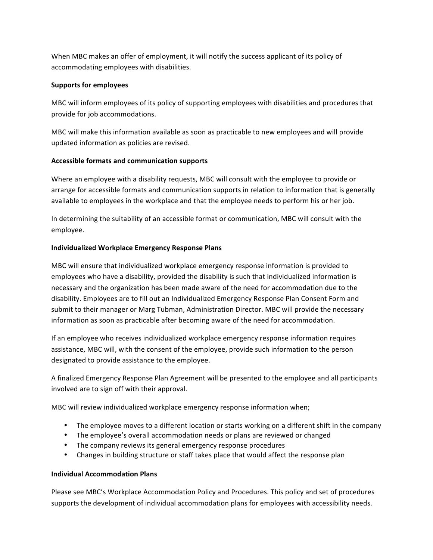When MBC makes an offer of employment, it will notify the success applicant of its policy of accommodating employees with disabilities.

### **Supports for employees**

MBC will inform employees of its policy of supporting employees with disabilities and procedures that provide for job accommodations.

MBC will make this information available as soon as practicable to new employees and will provide updated information as policies are revised.

### **Accessible formats and communication supports**

Where an employee with a disability requests, MBC will consult with the employee to provide or arrange for accessible formats and communication supports in relation to information that is generally available to employees in the workplace and that the employee needs to perform his or her job.

In determining the suitability of an accessible format or communication, MBC will consult with the employee. 

### **Individualized Workplace Emergency Response Plans**

MBC will ensure that individualized workplace emergency response information is provided to employees who have a disability, provided the disability is such that individualized information is necessary and the organization has been made aware of the need for accommodation due to the disability. Employees are to fill out an Individualized Emergency Response Plan Consent Form and submit to their manager or Marg Tubman, Administration Director. MBC will provide the necessary information as soon as practicable after becoming aware of the need for accommodation.

If an employee who receives individualized workplace emergency response information requires assistance, MBC will, with the consent of the employee, provide such information to the person designated to provide assistance to the employee.

A finalized Emergency Response Plan Agreement will be presented to the employee and all participants involved are to sign off with their approval.

MBC will review individualized workplace emergency response information when;

- The employee moves to a different location or starts working on a different shift in the company
- The employee's overall accommodation needs or plans are reviewed or changed
- The company reviews its general emergency response procedures
- Changes in building structure or staff takes place that would affect the response plan

#### **Individual Accommodation Plans**

Please see MBC's Workplace Accommodation Policy and Procedures. This policy and set of procedures supports the development of individual accommodation plans for employees with accessibility needs.